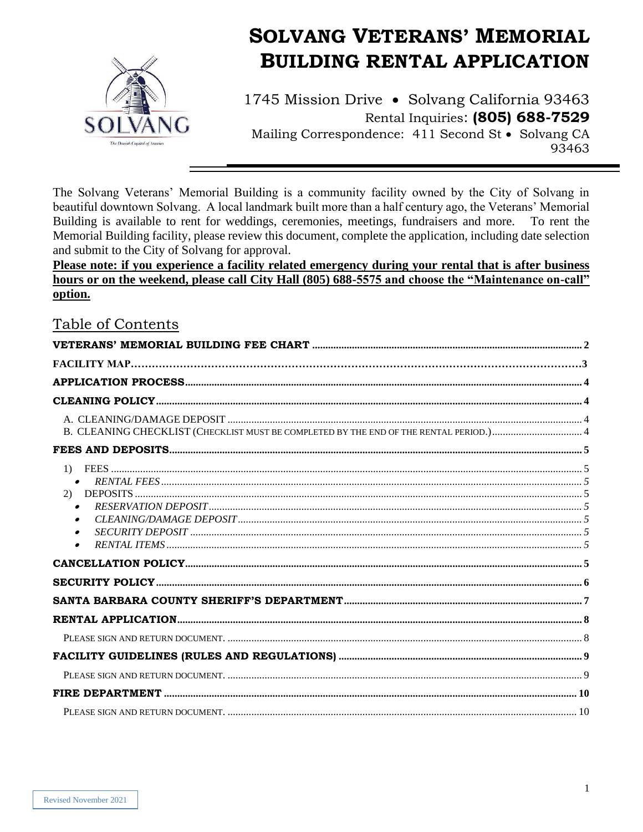

# **SOLVANG VETERANS' MEMORIAL BUILDING RENTAL APPLICATION**

1745 Mission Drive • Solvang California 93463 Rental Inquiries: (805) 688-7529 Mailing Correspondence: 411 Second St • Solvang CA 93463

The Solvang Veterans' Memorial Building is a community facility owned by the City of Solvang in beautiful downtown Solvang. A local landmark built more than a half century ago, the Veterans' Memorial Building is available to rent for weddings, ceremonies, meetings, fundraisers and more. To rent the Memorial Building facility, please review this document, complete the application, including date selection and submit to the City of Solvang for approval.

Please note: if you experience a facility related emergency during your rental that is after business hours or on the weekend, please call City Hall (805) 688-5575 and choose the "Maintenance on-call" option.

## Table of Contents

<span id="page-0-0"></span>

| $\bullet$<br>(2)                                 |  |
|--------------------------------------------------|--|
| $\bullet$<br>$\bullet$<br>$\bullet$<br>$\bullet$ |  |
|                                                  |  |
|                                                  |  |
|                                                  |  |
|                                                  |  |
|                                                  |  |
|                                                  |  |
|                                                  |  |
|                                                  |  |
|                                                  |  |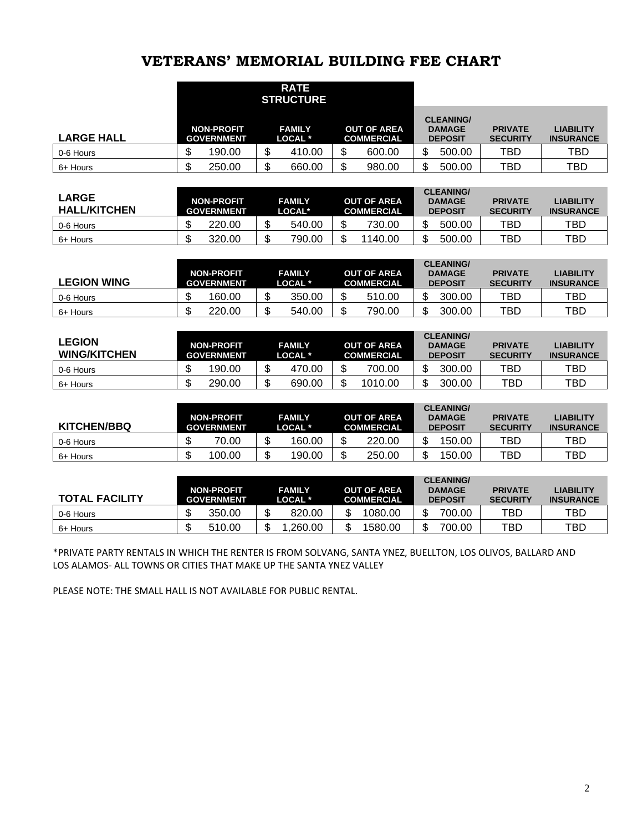# **VETERANS' MEMORIAL BUILDING FEE CHART**

|                   |                   |                   |    | <b>RATE</b><br><b>STRUCTURE</b> |    |                                         |        |                                                     |                                   |                                      |
|-------------------|-------------------|-------------------|----|---------------------------------|----|-----------------------------------------|--------|-----------------------------------------------------|-----------------------------------|--------------------------------------|
| <b>LARGE HALL</b> | <b>GOVERNMENT</b> | <b>NON-PROFIT</b> |    | <b>FAMILY</b><br>LOCAL *        |    | <b>OUT OF AREA</b><br><b>COMMERCIAL</b> |        | <b>CLEANING/</b><br><b>DAMAGE</b><br><b>DEPOSIT</b> | <b>PRIVATE</b><br><b>SECURITY</b> | <b>LIABILITY</b><br><b>INSURANCE</b> |
| 0-6 Hours         | ۰IJ               | 190.00            | Ψ  | 410.00                          | w  | 600.00                                  | Φ<br>D | 500.00                                              | TBD                               | <b>TBD</b>                           |
| 6+ Hours          | ъD                | 250.00            | ۰D | 660.00                          | ۰D | 980.00                                  | \$     | 500.00                                              | TBD                               | TBD                                  |

| <b>LARGE</b><br><b>HALL/KITCHEN</b> | <b>NON-PROFIT</b><br><b>GOVERNMENT</b> |    | <b>FAMILY</b><br>LOCAL <sup>*</sup> |    | <b>OUT OF AREA</b><br><b>COMMERCIAL</b> | <b>CLEANING/</b><br><b>DAMAGE</b><br><b>DEPOSIT</b> | <b>PRIVATE</b><br><b>SECURITY</b> | LIABILITY<br><b>INSURANCE</b> |
|-------------------------------------|----------------------------------------|----|-------------------------------------|----|-----------------------------------------|-----------------------------------------------------|-----------------------------------|-------------------------------|
| 0-6 Hours                           | 220.00                                 | Œ  | 540.00                              |    | 730.00                                  | 500.00                                              | TBD                               | TBD                           |
| 6+ Hours                            | 320.00                                 | \$ | 790.00                              | ۰D | 1140.00                                 | 500.00                                              | TBD                               | TBD                           |

| <b>LEGION WING</b> | <b>NON-PROFIT</b><br><b>GOVERNMENT</b> |    | <b>FAMILY</b><br>LOCAL * | <b>OUT OF AREA</b><br><b>COMMERCIAL</b> |        | <b>CLEANING/</b><br><b>DAMAGE</b><br><b>DEPOSIT</b> | <b>PRIVATE</b><br><b>SECURITY</b> | <b>LIABILITY</b><br><b>INSURANCE</b> |
|--------------------|----------------------------------------|----|--------------------------|-----------------------------------------|--------|-----------------------------------------------------|-----------------------------------|--------------------------------------|
| 0-6 Hours          | 160.00                                 | ۰D | 350.00                   | 510.00                                  | ጦ<br>J | 300.00                                              | TBD.                              | TBD                                  |
| 6+ Hours           | 220.00                                 | ۰D | 540.00                   | 790.00                                  | ∩<br>æ | 300.00                                              | TBD.                              | TBD                                  |

| <b>LEGION</b><br><b>WING/KITCHEN</b> | <b>NON-PROFIT</b><br><b>GOVERNMENT</b> | <b>FAMILY</b><br>LOCAL * | <b>OUT OF AREA</b><br><b>COMMERCIAL</b> | <b>CLEANING/</b><br><b>DAMAGE</b><br><b>DEPOSIT</b> | <b>PRIVATE</b><br><b>SECURITY</b> | <b>LIABILITY</b><br><b>INSURANCE</b> |
|--------------------------------------|----------------------------------------|--------------------------|-----------------------------------------|-----------------------------------------------------|-----------------------------------|--------------------------------------|
| 0-6 Hours                            | 190.00                                 | 470.00                   | 700.00<br>۰D                            | 300.00<br>Œ                                         | TBD                               | TBD                                  |
| 6+ Hours                             | 290.00                                 | 690.00                   | 1010.00<br>۰D                           | 300.00                                              | TBD                               | TBD                                  |

| <b>KITCHEN/BBQ</b> | <b>NON-PROFIT</b><br><b>GOVERNMENT</b> | <b>FAMILY</b><br>LOCAL * | <b>OUT OF AREA</b><br><b>COMMERCIAL</b> |         | <b>CLEANING/</b><br><b>DAMAGE</b><br><b>DEPOSIT</b> | <b>PRIVATE</b><br><b>SECURITY</b> | <b>LIABILITY</b><br><b>INSURANCE</b> |
|--------------------|----------------------------------------|--------------------------|-----------------------------------------|---------|-----------------------------------------------------|-----------------------------------|--------------------------------------|
| 0-6 Hours          | 70.00                                  | 160.00                   | 220.00                                  | ጦ<br>JЭ | 150.00                                              | TBD                               | TBD                                  |
| 6+ Hours           | 100.00                                 | 190.00                   | 250.00                                  |         | 150.00                                              | TBD                               | TBD                                  |

| <b>TOTAL FACILITY</b> | <b>NON-PROFIT</b><br><b>GOVERNMENT</b> | <b>FAMILY</b><br>LOCAL * | <b>OUT OF AREA</b><br><b>COMMERCIAL</b> | <b>CLEANING/</b><br><b>DAMAGE</b><br><b>DEPOSIT</b> | <b>PRIVATE</b><br><b>SECURITY</b> | <b>LIABILITY</b><br><b>INSURANCE</b> |
|-----------------------|----------------------------------------|--------------------------|-----------------------------------------|-----------------------------------------------------|-----------------------------------|--------------------------------------|
| 0-6 Hours             | 350.00                                 | 820.00                   | 1080.00                                 | \$<br>700.00                                        | TBD                               | TBD                                  |
| 6+ Hours              | 510.00                                 | .260.00                  | 1580.00                                 | \$<br>700.00                                        | TBD.                              | TBD                                  |

\*PRIVATE PARTY RENTALS IN WHICH THE RENTER IS FROM SOLVANG, SANTA YNEZ, BUELLTON, LOS OLIVOS, BALLARD AND LOS ALAMOS- ALL TOWNS OR CITIES THAT MAKE UP THE SANTA YNEZ VALLEY

PLEASE NOTE: THE SMALL HALL IS NOT AVAILABLE FOR PUBLIC RENTAL.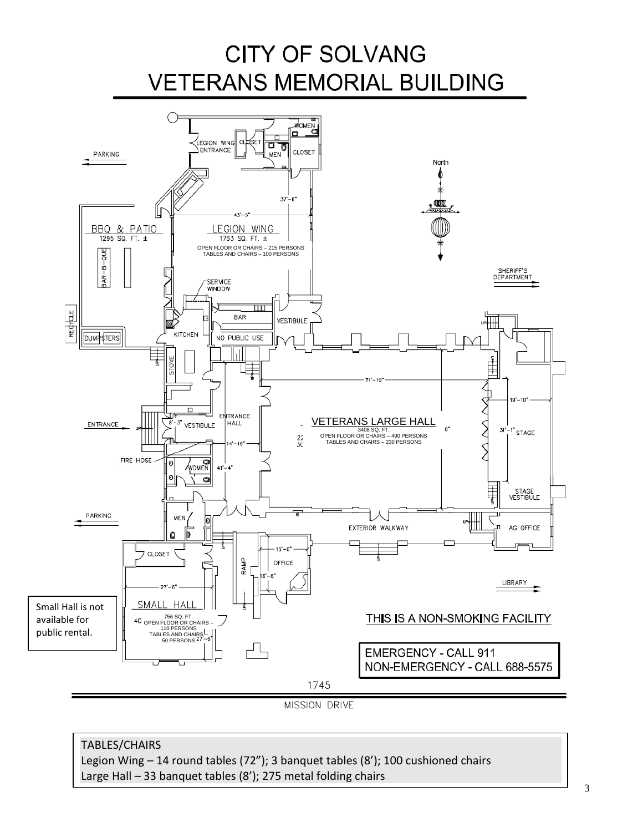# **CITY OF SOLVANG VETERANS MEMORIAL BUILDING**



MISSION DRIVE

### TABLES/CHAIRS

Legion Wing – 14 round tables (72"); 3 banquet tables (8'); 100 cushioned chairs Large Hall – 33 banquet tables (8'); 275 metal folding chairs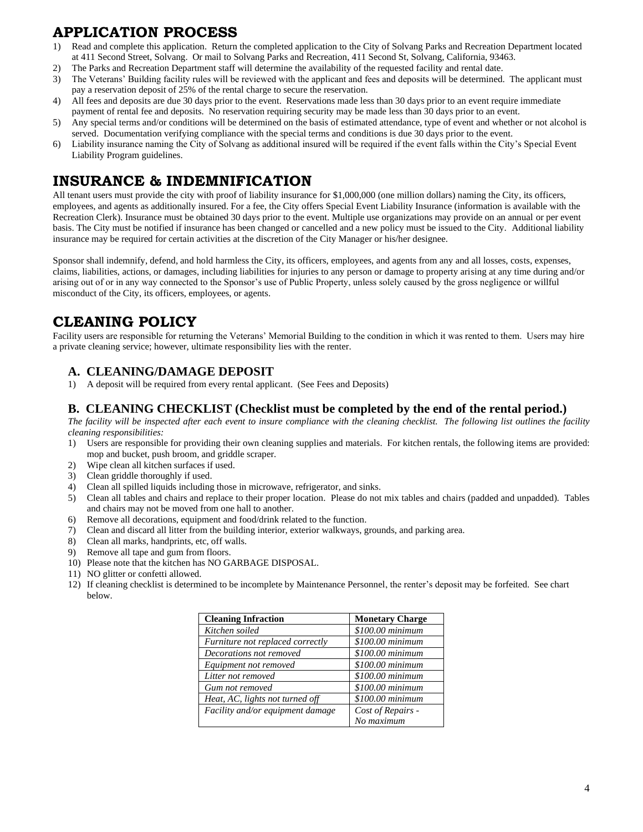# <span id="page-3-0"></span>**APPLICATION PROCESS**

- 1) Read and complete this application. Return the completed application to the City of Solvang Parks and Recreation Department located at 411 Second Street, Solvang. Or mail to Solvang Parks and Recreation, 411 Second St, Solvang, California, 93463.
- 2) The Parks and Recreation Department staff will determine the availability of the requested facility and rental date.
- 3) The Veterans' Building facility rules will be reviewed with the applicant and fees and deposits will be determined. The applicant must pay a reservation deposit of 25% of the rental charge to secure the reservation.
- 4) All fees and deposits are due 30 days prior to the event. Reservations made less than 30 days prior to an event require immediate
- payment of rental fee and deposits. No reservation requiring security may be made less than 30 days prior to an event. 5) Any special terms and/or conditions will be determined on the basis of estimated attendance, type of event and whether or not alcohol is
- served. Documentation verifying compliance with the special terms and conditions is due 30 days prior to the event. 6) Liability insurance naming the City of Solvang as additional insured will be required if the event falls within the City's Special Event Liability Program guidelines.

# **INSURANCE & INDEMNIFICATION**

All tenant users must provide the city with proof of liability insurance for \$1,000,000 (one million dollars) naming the City, its officers, employees, and agents as additionally insured. For a fee, the City offers Special Event Liability Insurance (information is available with the Recreation Clerk). Insurance must be obtained 30 days prior to the event. Multiple use organizations may provide on an annual or per event basis. The City must be notified if insurance has been changed or cancelled and a new policy must be issued to the City. Additional liability insurance may be required for certain activities at the discretion of the City Manager or his/her designee.

Sponsor shall indemnify, defend, and hold harmless the City, its officers, employees, and agents from any and all losses, costs, expenses, claims, liabilities, actions, or damages, including liabilities for injuries to any person or damage to property arising at any time during and/or arising out of or in any way connected to the Sponsor's use of Public Property, unless solely caused by the gross negligence or willful misconduct of the City, its officers, employees, or agents.

# <span id="page-3-1"></span>**CLEANING POLICY**

Facility users are responsible for returning the Veterans' Memorial Building to the condition in which it was rented to them. Users may hire a private cleaning service; however, ultimate responsibility lies with the renter.

### <span id="page-3-2"></span>**A. CLEANING/DAMAGE DEPOSIT**

1) A deposit will be required from every rental applicant. (See Fees and Deposits)

#### <span id="page-3-3"></span>**B. CLEANING CHECKLIST (Checklist must be completed by the end of the rental period.)**

*The facility will be inspected after each event to insure compliance with the cleaning checklist. The following list outlines the facility cleaning responsibilities:*

- 1) Users are responsible for providing their own cleaning supplies and materials. For kitchen rentals, the following items are provided: mop and bucket, push broom, and griddle scraper.
- 2) Wipe clean all kitchen surfaces if used.
- 3) Clean griddle thoroughly if used.
- 4) Clean all spilled liquids including those in microwave, refrigerator, and sinks.
- 5) Clean all tables and chairs and replace to their proper location. Please do not mix tables and chairs (padded and unpadded). Tables and chairs may not be moved from one hall to another.
- 6) Remove all decorations, equipment and food/drink related to the function.
- 7) Clean and discard all litter from the building interior, exterior walkways, grounds, and parking area.
- 8) Clean all marks, handprints, etc, off walls.
- 9) Remove all tape and gum from floors.
- 10) Please note that the kitchen has NO GARBAGE DISPOSAL.
- 11) NO glitter or confetti allowed.
- 12) If cleaning checklist is determined to be incomplete by Maintenance Personnel, the renter's deposit may be forfeited. See chart below.

| <b>Cleaning Infraction</b>       | <b>Monetary Charge</b> |
|----------------------------------|------------------------|
| Kitchen soiled                   | \$100.00 minimum       |
| Furniture not replaced correctly | \$100.00 minimum       |
| Decorations not removed          | \$100.00 minimum       |
| Equipment not removed            | \$100.00 minimum       |
| Litter not removed               | \$100.00 minimum       |
| Gum not removed                  | \$100.00 minimum       |
| Heat, AC, lights not turned off  | \$100.00 minimum       |
| Facility and/or equipment damage | Cost of Repairs -      |
|                                  | No maximum             |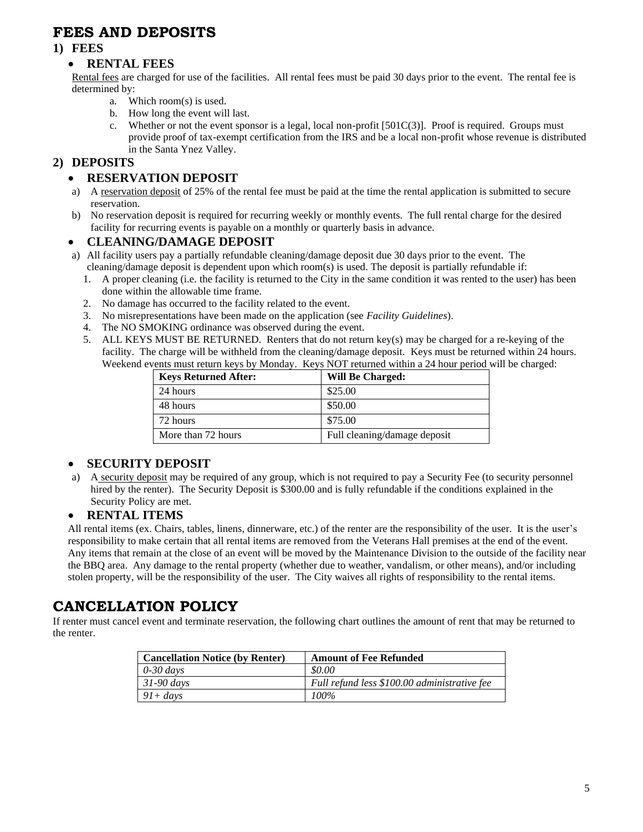# <span id="page-4-0"></span>**FEES AND DEPOSITS**

#### <span id="page-4-2"></span><span id="page-4-1"></span>**1) FEES**

#### • **RENTAL FEES**

Rental fees are charged for use of the facilities. All rental fees must be paid 30 days prior to the event. The rental fee is determined by:

- a. Which room(s) is used.
- b. How long the event will last.
- c. Whether or not the event sponsor is a legal, local non-profit  $[501C(3)]$ . Proof is required. Groups must provide proof of tax-exempt certification from the IRS and be a local non-profit whose revenue is distributed in the Santa Ynez Valley.

#### <span id="page-4-4"></span><span id="page-4-3"></span>**2) DEPOSITS**

#### • **RESERVATION DEPOSIT**

- a) A reservation deposit of 25% of the rental fee must be paid at the time the rental application is submitted to secure reservation.
- b) No reservation deposit is required for recurring weekly or monthly events. The full rental charge for the desired facility for recurring events is payable on a monthly or quarterly basis in advance.

#### <span id="page-4-5"></span>• **CLEANING/DAMAGE DEPOSIT**

- a) All facility users pay a partially refundable cleaning/damage deposit due 30 days prior to the event. The cleaning/damage deposit is dependent upon which room(s) is used. The deposit is partially refundable if:
	- 1. A proper cleaning (i.e. the facility is returned to the City in the same condition it was rented to the user) has been done within the allowable time frame.
	- 2. No damage has occurred to the facility related to the event.
	- 3. No misrepresentations have been made on the application (see *Facility Guidelines*).
	- 4. The NO SMOKING ordinance was observed during the event.
	- 5. ALL KEYS MUST BE RETURNED. Renters that do not return key(s) may be charged for a re-keying of the facility. The charge will be withheld from the cleaning/damage deposit. Keys must be returned within 24 hours. Weekend events must return keys by Monday. Keys NOT returned within a 24 hour period will be charged:

| <b>Keys Returned After:</b> | <b>Will Be Charged:</b>      |
|-----------------------------|------------------------------|
| 24 hours                    | \$25.00                      |
| 48 hours                    | \$50.00                      |
| 72 hours                    | \$75.00                      |
| More than 72 hours          | Full cleaning/damage deposit |

#### <span id="page-4-6"></span>• **SECURITY DEPOSIT**

a) A security deposit may be required of any group, which is not required to pay a Security Fee (to security personnel hired by the renter). The Security Deposit is \$300.00 and is fully refundable if the conditions explained in the Security Policy are met.

#### <span id="page-4-7"></span>• **RENTAL ITEMS**

All rental items (ex. Chairs, tables, linens, dinnerware, etc.) of the renter are the responsibility of the user. It is the user's responsibility to make certain that all rental items are removed from the Veterans Hall premises at the end of the event. Any items that remain at the close of an event will be moved by the Maintenance Division to the outside of the facility near the BBQ area. Any damage to the rental property (whether due to weather, vandalism, or other means), and/or including stolen property, will be the responsibility of the user. The City waives all rights of responsibility to the rental items.

## <span id="page-4-8"></span>**CANCELLATION POLICY**

If renter must cancel event and terminate reservation, the following chart outlines the amount of rent that may be returned to the renter.

| <b>Cancellation Notice (by Renter)</b> | <b>Amount of Fee Refunded</b>                |
|----------------------------------------|----------------------------------------------|
| $\int 0.30 \, \text{days}$             | \$0.00                                       |
| $31-90$ days                           | Full refund less \$100.00 administrative fee |
| $91 + days$                            | 100%                                         |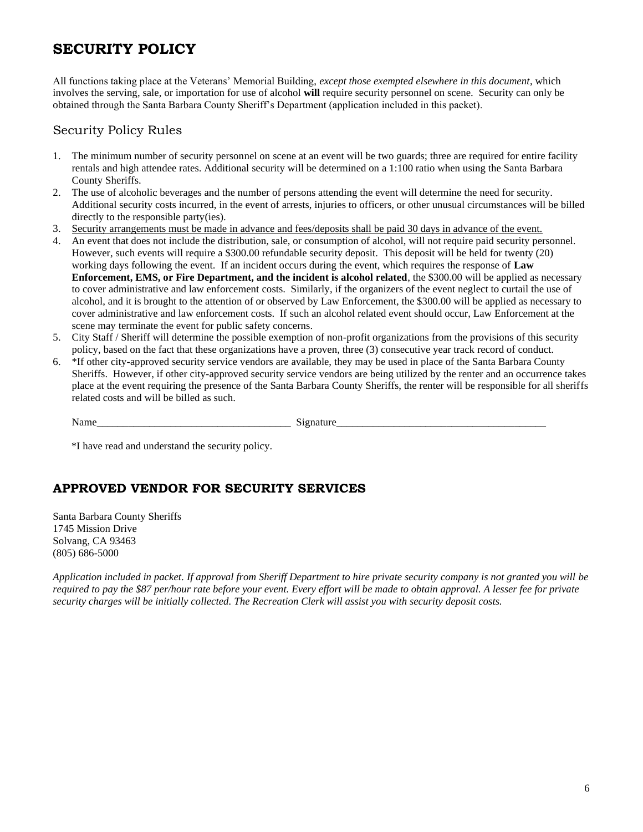# <span id="page-5-0"></span>**SECURITY POLICY**

All functions taking place at the Veterans' Memorial Building, *except those exempted elsewhere in this document*, which involves the serving, sale, or importation for use of alcohol **will** require security personnel on scene. Security can only be obtained through the Santa Barbara County Sheriff's Department (application included in this packet).

### Security Policy Rules

- 1. The minimum number of security personnel on scene at an event will be two guards; three are required for entire facility rentals and high attendee rates. Additional security will be determined on a 1:100 ratio when using the Santa Barbara County Sheriffs.
- 2. The use of alcoholic beverages and the number of persons attending the event will determine the need for security. Additional security costs incurred, in the event of arrests, injuries to officers, or other unusual circumstances will be billed directly to the responsible party(ies).
- 3. Security arrangements must be made in advance and fees/deposits shall be paid 30 days in advance of the event.
- 4. An event that does not include the distribution, sale, or consumption of alcohol, will not require paid security personnel. However, such events will require a \$300.00 refundable security deposit. This deposit will be held for twenty (20) working days following the event. If an incident occurs during the event, which requires the response of **Law Enforcement, EMS, or Fire Department, and the incident is alcohol related**, the \$300.00 will be applied as necessary to cover administrative and law enforcement costs. Similarly, if the organizers of the event neglect to curtail the use of alcohol, and it is brought to the attention of or observed by Law Enforcement, the \$300.00 will be applied as necessary to cover administrative and law enforcement costs. If such an alcohol related event should occur, Law Enforcement at the scene may terminate the event for public safety concerns.
- 5. City Staff / Sheriff will determine the possible exemption of non-profit organizations from the provisions of this security policy, based on the fact that these organizations have a proven, three (3) consecutive year track record of conduct.
- 6. \*If other city-approved security service vendors are available, they may be used in place of the Santa Barbara County Sheriffs. However, if other city-approved security service vendors are being utilized by the renter and an occurrence takes place at the event requiring the presence of the Santa Barbara County Sheriffs, the renter will be responsible for all sheriffs related costs and will be billed as such.

| . .<br>.<br>.                     |           |
|-----------------------------------|-----------|
| ________<br>_____<br>____________ | _________ |

\*I have read and understand the security policy.

## **APPROVED VENDOR FOR SECURITY SERVICES**

Santa Barbara County Sheriffs 1745 Mission Drive Solvang, CA 93463 (805) 686-5000

*Application included in packet. If approval from Sheriff Department to hire private security company is not granted you will be required to pay the \$87 per/hour rate before your event. Every effort will be made to obtain approval. A lesser fee for private security charges will be initially collected. The Recreation Clerk will assist you with security deposit costs.*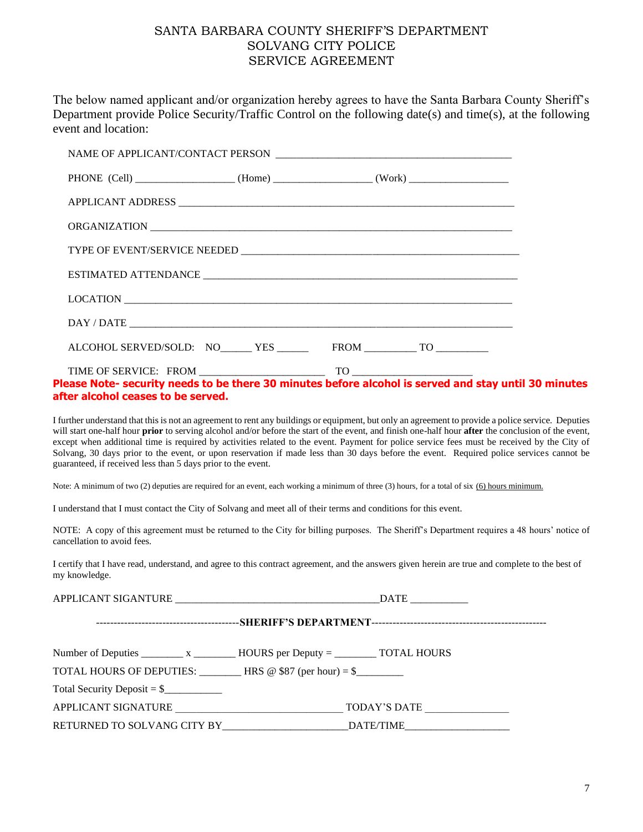#### SANTA BARBARA COUNTY SHERIFF'S DEPARTMENT SOLVANG CITY POLICE SERVICE AGREEMENT

<span id="page-6-0"></span>The below named applicant and/or organization hereby agrees to have the Santa Barbara County Sheriff's Department provide Police Security/Traffic Control on the following date(s) and time(s), at the following event and location:

| ALCOHOL SERVED/SOLD: NO_____ YES _______ FROM _________ TO _________ |  |
|----------------------------------------------------------------------|--|
|                                                                      |  |

#### **Please Note- security needs to be there 30 minutes before alcohol is served and stay until 30 minutes after alcohol ceases to be served.**

I further understand that this is not an agreement to rent any buildings or equipment, but only an agreement to provide a police service. Deputies will start one-half hour **prior** to serving alcohol and/or before the start of the event, and finish one-half hour **after** the conclusion of the event, except when additional time is required by activities related to the event. Payment for police service fees must be received by the City of Solvang, 30 days prior to the event, or upon reservation if made less than 30 days before the event. Required police services cannot be guaranteed, if received less than 5 days prior to the event.

Note: A minimum of two (2) deputies are required for an event, each working a minimum of three (3) hours, for a total of six (6) hours minimum.

I understand that I must contact the City of Solvang and meet all of their terms and conditions for this event.

NOTE: A copy of this agreement must be returned to the City for billing purposes. The Sheriff's Department requires a 48 hours' notice of cancellation to avoid fees.

I certify that I have read, understand, and agree to this contract agreement, and the answers given herein are true and complete to the best of my knowledge.

|                                                                     | $\text{DATE}$                                                                            |  |  |
|---------------------------------------------------------------------|------------------------------------------------------------------------------------------|--|--|
|                                                                     |                                                                                          |  |  |
|                                                                     | Number of Deputies ___________ x _____________HOURS per Deputy = ____________TOTAL HOURS |  |  |
| TOTAL HOURS OF DEPUTIES: $\qquad \qquad$ HRS @ \$87 (per hour) = \$ |                                                                                          |  |  |
| Total Security Deposit = $\frac{1}{2}$                              |                                                                                          |  |  |
| APPLICANT SIGNATURE                                                 | TODAY'S DATE                                                                             |  |  |
|                                                                     |                                                                                          |  |  |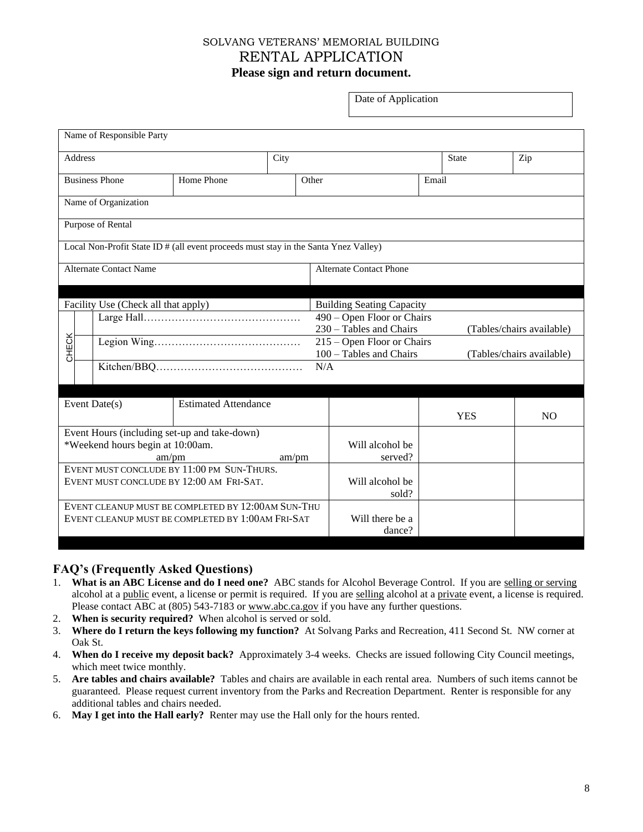### <span id="page-7-0"></span>SOLVANG VETERANS' MEMORIAL BUILDING RENTAL APPLICATION **Please sign and return document.**

Date of Application

<span id="page-7-1"></span>

| Name of Responsible Party                                                           |                             |       |                                  |              |                           |  |
|-------------------------------------------------------------------------------------|-----------------------------|-------|----------------------------------|--------------|---------------------------|--|
| <b>Address</b>                                                                      |                             | City  |                                  | <b>State</b> | Zip                       |  |
| <b>Business Phone</b>                                                               | Home Phone<br>Other         |       |                                  | Email        |                           |  |
| Name of Organization                                                                |                             |       |                                  |              |                           |  |
| Purpose of Rental                                                                   |                             |       |                                  |              |                           |  |
| Local Non-Profit State ID # (all event proceeds must stay in the Santa Ynez Valley) |                             |       |                                  |              |                           |  |
| <b>Alternate Contact Name</b>                                                       |                             |       | <b>Alternate Contact Phone</b>   |              |                           |  |
|                                                                                     |                             |       |                                  |              |                           |  |
| Facility Use (Check all that apply)                                                 |                             |       | <b>Building Seating Capacity</b> |              |                           |  |
|                                                                                     |                             |       | 490 – Open Floor or Chairs       |              |                           |  |
| 230 - Tables and Chairs<br>(Tables/chairs available)                                |                             |       |                                  |              |                           |  |
| CHECK                                                                               |                             |       | 215 - Open Floor or Chairs       |              |                           |  |
|                                                                                     |                             |       | $100 -$ Tables and Chairs        |              | (Tables/chairs available) |  |
|                                                                                     |                             |       | N/A                              |              |                           |  |
|                                                                                     |                             |       |                                  |              |                           |  |
| Event Date(s)                                                                       | <b>Estimated Attendance</b> |       |                                  |              |                           |  |
|                                                                                     |                             |       |                                  | <b>YES</b>   | N <sub>O</sub>            |  |
| Event Hours (including set-up and take-down)                                        |                             |       |                                  |              |                           |  |
| *Weekend hours begin at 10:00am.                                                    |                             |       | Will alcohol be                  |              |                           |  |
|                                                                                     | am/pm                       | am/pm | served?                          |              |                           |  |
| EVENT MUST CONCLUDE BY 11:00 PM SUN-THURS.                                          |                             |       |                                  |              |                           |  |
| EVENT MUST CONCLUDE BY 12:00 AM FRI-SAT.                                            |                             |       | Will alcohol be                  |              |                           |  |
|                                                                                     |                             |       | sold?                            |              |                           |  |
| EVENT CLEANUP MUST BE COMPLETED BY 12:00AM SUN-THU                                  |                             |       |                                  |              |                           |  |
| EVENT CLEANUP MUST BE COMPLETED BY 1:00AM FRI-SAT                                   |                             |       | Will there be a                  |              |                           |  |
|                                                                                     |                             |       | dance?                           |              |                           |  |

#### **FAQ's (Frequently Asked Questions)**

- 1. **What is an ABC License and do I need one?** ABC stands for Alcohol Beverage Control. If you are selling or serving alcohol at a public event, a license or permit is required. If you are selling alcohol at a private event, a license is required. Please contact ABC at (805) 543-7183 or [www.abc.ca.gov](http://www.abc.ca.gov/) if you have any further questions.
- 2. **When is security required?** When alcohol is served or sold.
- 3. **Where do I return the keys following my function?** At Solvang Parks and Recreation, 411 Second St. NW corner at Oak St.
- 4. **When do I receive my deposit back?** Approximately 3-4 weeks. Checks are issued following City Council meetings, which meet twice monthly.
- 5. **Are tables and chairs available?** Tables and chairs are available in each rental area. Numbers of such items cannot be guaranteed. Please request current inventory from the Parks and Recreation Department. Renter is responsible for any additional tables and chairs needed.
- 6. **May I get into the Hall early?** Renter may use the Hall only for the hours rented.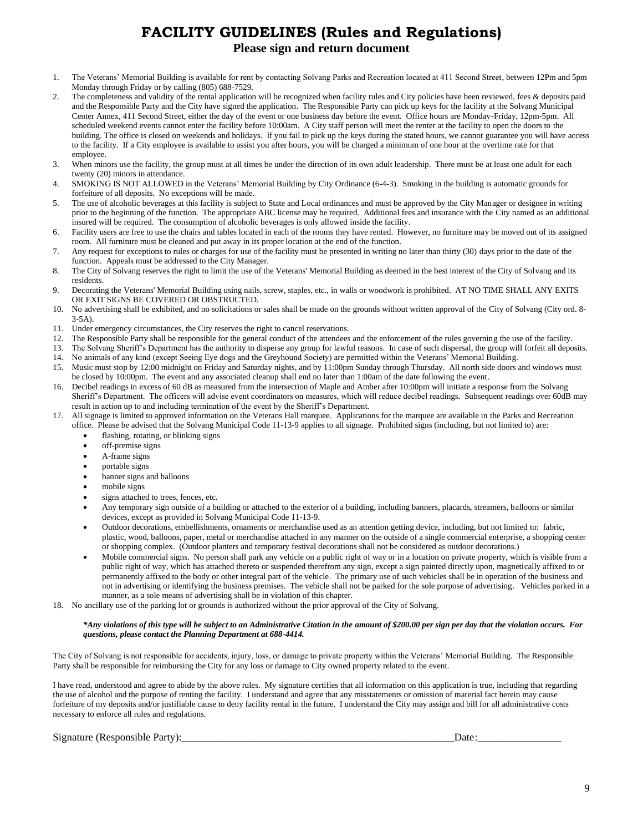# **FACILITY GUIDELINES (Rules and Regulations) Please sign and return document**

- <span id="page-8-1"></span><span id="page-8-0"></span>1. The Veterans' Memorial Building is available for rent by contacting Solvang Parks and Recreation located at 411 Second Street, between 12Pm and 5pm Monday through Friday or by calling (805) 688-7529.
- 2. The completeness and validity of the rental application will be recognized when facility rules and City policies have been reviewed, fees & deposits paid and the Responsible Party and the City have signed the application. The Responsible Party can pick up keys for the facility at the Solvang Municipal Center Annex, 411 Second Street, either the day of the event or one business day before the event. Office hours are Monday-Friday, 12pm-5pm. All scheduled weekend events cannot enter the facility before 10:00am. A City staff person will meet the renter at the facility to open the doors to the building. The office is closed on weekends and holidays. If you fail to pick up the keys during the stated hours, we cannot guarantee you will have access to the facility. If a City employee is available to assist you after hours, you will be charged a minimum of one hour at the overtime rate for that employee.
- 3. When minors use the facility, the group must at all times be under the direction of its own adult leadership. There must be at least one adult for each twenty (20) minors in attendance.
- 4. SMOKING IS NOT ALLOWED in the Veterans' Memorial Building by City Ordinance (6-4-3). Smoking in the building is automatic grounds for forfeiture of all deposits. No exceptions will be made.
- 5. The use of alcoholic beverages at this facility is subject to State and Local ordinances and must be approved by the City Manager or designee in writing prior to the beginning of the function. The appropriate ABC license may be required. Additional fees and insurance with the City named as an additional insured will be required. The consumption of alcoholic beverages is only allowed inside the facility.
- 6. Facility users are free to use the chairs and tables located in each of the rooms they have rented. However, no furniture may be moved out of its assigned room. All furniture must be cleaned and put away in its proper location at the end of the function.
- 7. Any request for exceptions to rules or charges for use of the facility must be presented in writing no later than thirty (30) days prior to the date of the function. Appeals must be addressed to the City Manager.
- 8. The City of Solvang reserves the right to limit the use of the Veterans' Memorial Building as deemed in the best interest of the City of Solvang and its residents.
- 9. Decorating the Veterans' Memorial Building using nails, screw, staples, etc., in walls or woodwork is prohibited. AT NO TIME SHALL ANY EXITS OR EXIT SIGNS BE COVERED OR OBSTRUCTED.
- 10. No advertising shall be exhibited, and no solicitations or sales shall be made on the grounds without written approval of the City of Solvang (City ord. 8- 3-5A).
- 11. Under emergency circumstances, the City reserves the right to cancel reservations.
- 12. The Responsible Party shall be responsible for the general conduct of the attendees and the enforcement of the rules governing the use of the facility.
- 13. The Solvang Sheriff's Department has the authority to disperse any group for lawful reasons. In case of such dispersal, the group will forfeit all deposits.
- 14. No animals of any kind (except Seeing Eye dogs and the Greyhound Society) are permitted within the Veterans' Memorial Building.
- 15. Music must stop by 12:00 midnight on Friday and Saturday nights, and by 11:00pm Sunday through Thursday. All north side doors and windows must be closed by 10:00pm. The event and any associated cleanup shall end no later than 1:00am of the date following the event.
- 16. Decibel readings in excess of 60 dB as measured from the intersection of Maple and Amber after 10:00pm will initiate a response from the Solvang Sheriff's Department. The officers will advise event coordinators on measures, which will reduce decibel readings. Subsequent readings over 60dB may result in action up to and including termination of the event by the Sheriff's Department.
- 17. All signage is limited to approved information on the Veterans Hall marquee. Applications for the marquee are available in the Parks and Recreation office. Please be advised that the Solvang Municipal Code 11-13-9 applies to all signage. Prohibited signs (including, but not limited to) are:
	- flashing, rotating, or blinking signs
	- off-premise signs
	- A-frame signs
	- portable signs
	- banner signs and balloons
	- mobile signs
	- signs attached to trees, fences, etc.
	- Any temporary sign outside of a building or attached to the exterior of a building, including banners, placards, streamers, balloons or similar devices, except as provided in Solvang Municipal Code 11-13-9.
	- Outdoor decorations, embellishments, ornaments or merchandise used as an attention getting device, including, but not limited to: fabric, plastic, wood, balloons, paper, metal or merchandise attached in any manner on the outside of a single commercial enterprise, a shopping center or shopping complex. (Outdoor planters and temporary festival decorations shall not be considered as outdoor decorations.)
	- Mobile commercial signs. No person shall park any vehicle on a public right of way or in a location on private property, which is visible from a public right of way, which has attached thereto or suspended therefrom any sign, except a sign painted directly upon, magnetically affixed to or permanently affixed to the body or other integral part of the vehicle. The primary use of such vehicles shall be in operation of the business and not in advertising or identifying the business premises. The vehicle shall not be parked for the sole purpose of advertising. Vehicles parked in a manner, as a sole means of advertising shall be in violation of this chapter.
- 18. No ancillary use of the parking lot or grounds is authorized without the prior approval of the City of Solvang.

#### *\*Any violations of this type will be subject to an Administrative Citation in the amount of \$200.00 per sign per day that the violation occurs. For questions, please contact the Planning Department at 688-4414.*

The City of Solvang is not responsible for accidents, injury, loss, or damage to private property within the Veterans' Memorial Building. The Responsible Party shall be responsible for reimbursing the City for any loss or damage to City owned property related to the event.

I have read, understood and agree to abide by the above rules. My signature certifies that all information on this application is true, including that regarding the use of alcohol and the purpose of renting the facility. I understand and agree that any misstatements or omission of material fact herein may cause forfeiture of my deposits and/or justifiable cause to deny facility rental in the future. I understand the City may assign and bill for all administrative costs necessary to enforce all rules and regulations.

Signature (Responsible Party):\_\_\_\_\_\_\_\_\_\_\_\_\_\_\_\_\_\_\_\_\_\_\_\_\_\_\_\_\_\_\_\_\_\_\_\_\_\_\_\_\_\_\_\_\_\_\_\_\_\_\_\_Date:\_\_\_\_\_\_\_\_\_\_\_\_\_\_\_\_